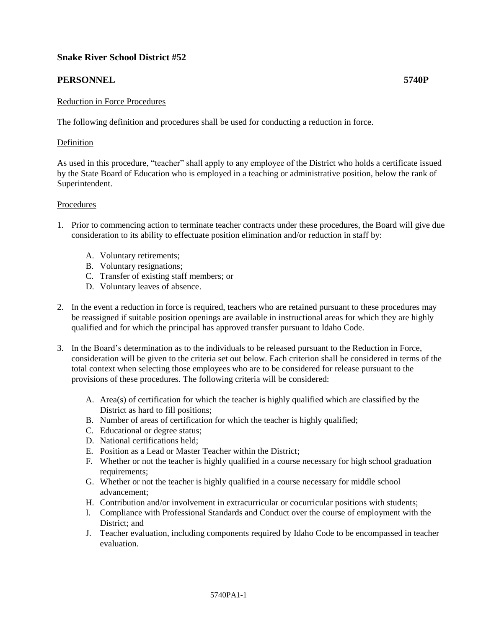# **Snake River School District #52**

## **PERSONNEL 5740P**

### Reduction in Force Procedures

The following definition and procedures shall be used for conducting a reduction in force.

### Definition

As used in this procedure, "teacher" shall apply to any employee of the District who holds a certificate issued by the State Board of Education who is employed in a teaching or administrative position, below the rank of Superintendent.

### Procedures

- 1. Prior to commencing action to terminate teacher contracts under these procedures, the Board will give due consideration to its ability to effectuate position elimination and/or reduction in staff by:
	- A. Voluntary retirements;
	- B. Voluntary resignations;
	- C. Transfer of existing staff members; or
	- D. Voluntary leaves of absence.
- 2. In the event a reduction in force is required, teachers who are retained pursuant to these procedures may be reassigned if suitable position openings are available in instructional areas for which they are highly qualified and for which the principal has approved transfer pursuant to Idaho Code.
- 3. In the Board's determination as to the individuals to be released pursuant to the Reduction in Force, consideration will be given to the criteria set out below. Each criterion shall be considered in terms of the total context when selecting those employees who are to be considered for release pursuant to the provisions of these procedures. The following criteria will be considered:
	- A. Area(s) of certification for which the teacher is highly qualified which are classified by the District as hard to fill positions;
	- B. Number of areas of certification for which the teacher is highly qualified;
	- C. Educational or degree status;
	- D. National certifications held;
	- E. Position as a Lead or Master Teacher within the District;
	- F. Whether or not the teacher is highly qualified in a course necessary for high school graduation requirements;
	- G. Whether or not the teacher is highly qualified in a course necessary for middle school advancement;
	- H. Contribution and/or involvement in extracurricular or cocurricular positions with students;
	- I. Compliance with Professional Standards and Conduct over the course of employment with the District; and
	- J. Teacher evaluation, including components required by Idaho Code to be encompassed in teacher evaluation.